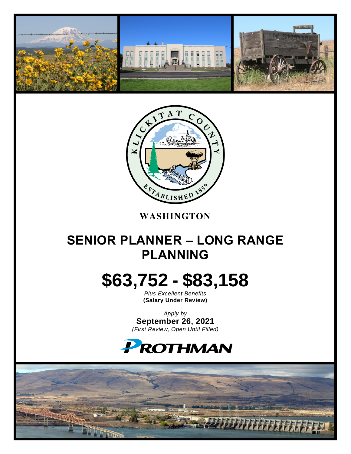



**WASHINGTON**

### **SENIOR PLANNER – LONG RANGE PLANNING**

# **\$63,752 - \$83,158**

*Plus Excellent Benefits* **(Salary Under Review)**

*Apply by* **September 26, 2021** *(First Review, Open Until Filled)*

## PROTHMAN

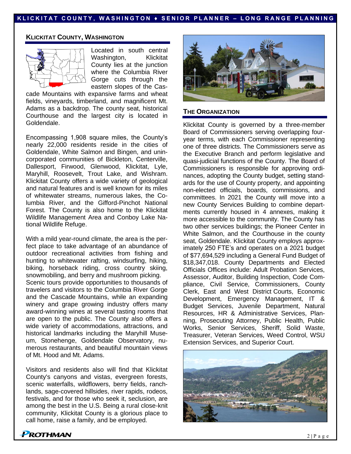#### **K L I C K I T A T C O U N T Y , W A S H I N G T O N ♦ S E N I O R P L A N N E R – L O N G R A N G E P L A N N I N G**

#### **KLICKITAT COUNTY, WASHINGTON**



Located in south central Washington, Klickitat County lies at the junction where the Columbia River Gorge cuts through the eastern slopes of the Cas-

cade Mountains with expansive farms and wheat fields, vineyards, timberland, and magnificent Mt. Adams as a backdrop. The county seat, historical Courthouse and the largest city is located in Goldendale.

Encompassing 1,908 square miles, the County's nearly 22,000 residents reside in the cities of Goldendale, White Salmon and Bingen, and unincorporated communities of Bickleton, Centerville, Dallesport, Firwood, Glenwood, Klickitat, Lyle, Maryhill, Roosevelt, Trout Lake, and Wishram. Klickitat County offers a wide variety of geological and natural features and is well known for its miles of whitewater streams, numerous lakes, the Columbia River, and the Gifford-Pinchot National Forest. The County is also home to the Klickitat Wildlife Management Area and Conboy Lake National Wildlife Refuge.

With a mild year-round climate, the area is the perfect place to take advantage of an abundance of outdoor recreational activities from fishing and hunting to whitewater rafting, windsurfing, hiking, biking, horseback riding, cross country skiing, snowmobiling, and berry and mushroom picking. Scenic tours provide opportunities to thousands of travelers and visitors to the Columbia River Gorge and the Cascade Mountains, while an expanding winery and grape growing industry offers many award-winning wines at several tasting rooms that are open to the public. The County also offers a wide variety of accommodations, attractions, and historical landmarks including the Maryhill Museum, Stonehenge, Goldendale Observatory, numerous restaurants, and beautiful mountain views of Mt. Hood and Mt. Adams.

Visitors and residents also will find that Klickitat County's canyons and vistas, evergreen forests, scenic waterfalls, wildflowers, berry fields, ranchlands, sage-covered hillsides, river rapids, rodeos, festivals, and for those who seek it, seclusion, are among the best in the U.S. Being a rural close-knit community, Klickitat County is a glorious place to call home, raise a family, and be employed.



#### **THE ORGANIZATION**

Klickitat County is governed by a three-member Board of Commissioners serving overlapping fouryear terms, with each Commissioner representing one of three districts. The Commissioners serve as the Executive Branch and perform legislative and quasi-judicial functions of the County. The Board of Commissioners is responsible for approving ordinances, adopting the County budget, setting standards for the use of County property, and appointing non-elected officials, boards, commissions, and committees. In 2021 the County will move into a new County Services Building to combine departments currently housed in 4 annexes, making it more accessible to the community. The County has two other services buildings; the Pioneer Center in White Salmon, and the Courthouse in the county seat, Goldendale. Klickitat County employs approximately 250 FTE's and operates on a 2021 budget of \$77,694,529 including a General Fund Budget of \$18,347,018. County Departments and Elected Officials Offices include: Adult Probation Services, Assessor, Auditor, Building Inspection, Code Compliance, Civil Service, Commissioners, County Clerk, East and West District Courts, Economic Development, Emergency Management, IT & Budget Services, Juvenile Department, Natural Resources, HR & Administrative Services, Planning, Prosecuting Attorney, Public Health, Public Works, Senior Services, Sheriff, Solid Waste, Treasurer, Veteran Services, Weed Control, WSU Extension Services, and Superior Court.

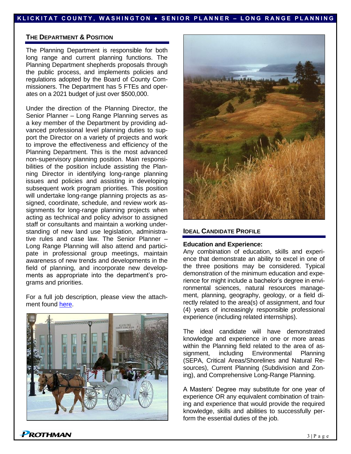#### **K L I C K I T A T C O U N T Y , W A S H I N G T O N ♦ S E N I O R P L A N N E R – L O N G R A N G E P L A N N I N G**

#### **THE DEPARTMENT & POSITION**

The Planning Department is responsible for both long range and current planning functions. The Planning Department shepherds proposals through the public process, and implements policies and regulations adopted by the Board of County Commissioners. The Department has 5 FTEs and operates on a 2021 budget of just over \$500,000.

Under the direction of the Planning Director, the Senior Planner – Long Range Planning serves as a key member of the Department by providing advanced professional level planning duties to support the Director on a variety of projects and work to improve the effectiveness and efficiency of the Planning Department. This is the most advanced non-supervisory planning position. Main responsibilities of the position include assisting the Planning Director in identifying long-range planning issues and policies and assisting in developing subsequent work program priorities. This position will undertake long-range planning projects as assigned, coordinate, schedule, and review work assignments for long-range planning projects when acting as technical and policy advisor to assigned staff or consultants and maintain a working understanding of new land use legislation, administrative rules and case law. The Senior Planner – Long Range Planning will also attend and participate in professional group meetings, maintain awareness of new trends and developments in the field of planning, and incorporate new developments as appropriate into the department's programs and priorities.

For a full job description, please view the attachment found [here.](https://prothman.com/JobFiles/2901/Senior%20Planner%20-%20Long%20Range%20Planning%20Job%20Description.pdf)





#### **IDEAL CANDIDATE PROFILE**

#### **Education and Experience:**

Any combination of education, skills and experience that demonstrate an ability to excel in one of the three positions may be considered. Typical demonstration of the minimum education and experience for might include a bachelor's degree in environmental sciences, natural resources management, planning, geography, geology, or a field directly related to the area(s) of assignment, and four (4) years of increasingly responsible professional experience (including related internships).

The ideal candidate will have demonstrated knowledge and experience in one or more areas within the Planning field related to the area of assignment, including Environmental Planning (SEPA, Critical Areas/Shorelines and Natural Resources), Current Planning (Subdivision and Zoning), and Comprehensive Long-Range Planning.

A Masters' Degree may substitute for one year of experience OR any equivalent combination of training and experience that would provide the required knowledge, skills and abilities to successfully perform the essential duties of the job.

**PROTHMAN**